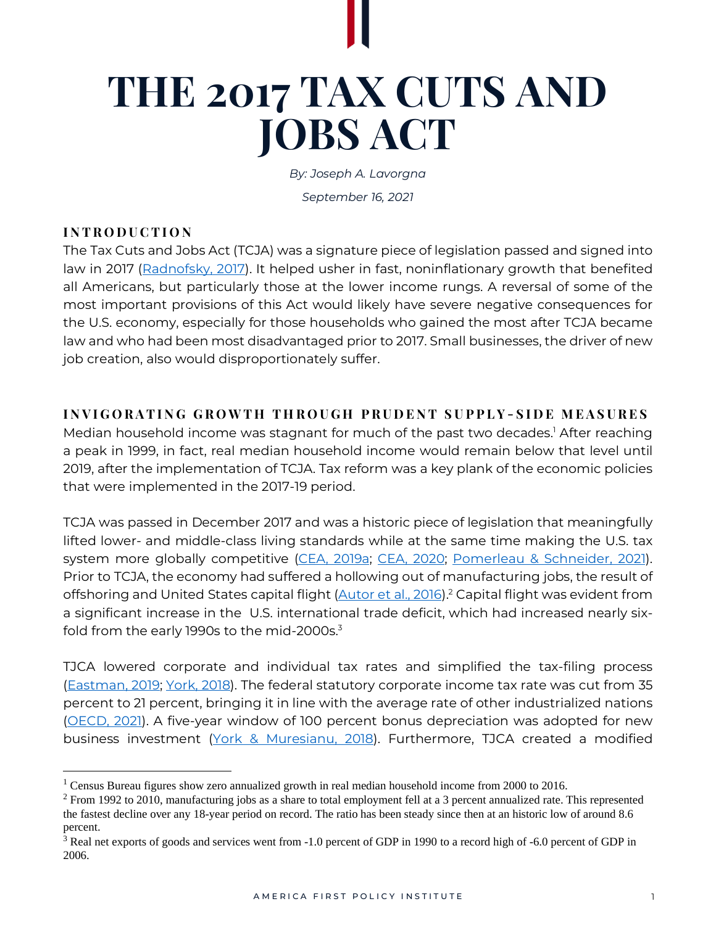# **THE 2017 TAX CUTS AND JOBS ACT**

*By: Joseph A. Lavorgna*

*September 16, 2021*

# **I N T R O D U C T I O N**

The Tax Cuts and Jobs Act (TCJA) was a signature piece of legislation passed and signed into law in 2017 [\(Radnofsky,](https://www.wsj.com/articles/trump-signs-sweeping-tax-overhaul-into-law-1513959753) 2017). It helped usher in fast, noninflationary growth that benefited all Americans, but particularly those at the lower income rungs. A reversal of some of the most important provisions of this Act would likely have severe negative consequences for the U.S. economy, especially for those households who gained the most after TCJA became law and who had been most disadvantaged prior to 2017. Small businesses, the driver of new job creation, also would disproportionately suffer.

**I N V I G O R A T I N G G R O W T H T H R O U G H P R U D E N T S U P P L Y - S I D E M E A S U R E S**

Median household income was stagnant for much of the past two decades.<sup>1</sup> After reaching a peak in 1999, in fact, real median household income would remain below that level until 2019, after the implementation of TCJA. Tax reform was a key plank of the economic policies that were implemented in the 2017-19 period.

TCJA was passed in December 2017 and was a historic piece of legislation that meaningfully lifted lower- and middle-class living standards while at the same time making the U.S. tax system more globally competitive (CEA, [2019a;](https://trumpwhitehouse.archives.gov/wp-content/uploads/2019/03/ERP-2019.pdf) CEA, [2020;](https://trumpwhitehouse.archives.gov/wp-content/uploads/2020/02/2020-Economic-Report-of-the-President-WHCEA.pdf) [Pomerleau](https://www.aei.org/op-eds/the-biden-administrations-corporate-tax-statistic-is-misleading/) & Schneider, 2021). Prior to TCJA, the economy had suffered a hollowing out of manufacturing jobs, the result of offshoring and United States capital flight [\(Autor](https://www.ddorn.net/papers/Autor-Dorn-Hanson-ChinaShock.pdf) et al., 2016).<sup>2</sup> Capital flight was evident from a significant increase in the U.S. international trade deficit, which had increased nearly sixfold from the early 1990s to the mid-2000s.<sup>3</sup>

TJCA lowered corporate and individual tax rates and simplified the tax-filing process [\(Eastman,](https://taxfoundation.org/tcja-lowered-taxes-individuals-throughout-income-groups/) 2019; [York,](https://taxfoundation.org/90-percent-taxpayers-projected-tcja-expanded-standard-deduction/) 2018). The federal statutory corporate income tax rate was cut from 35 percent to 21 percent, bringing it in line with the average rate of other industrialized nations [\(OECD,](https://stats.oecd.org/Index.aspx?QueryId=78166&_ga=2.78444439.2038507419.1621862848-1854079269.1614627377) 2021). A five-year window of 100 percent bonus depreciation was adopted for new business investment (York & [Muresianu,](https://taxfoundation.org/tcja-expensing-provision-benefits/) 2018). Furthermore, TJCA created a modified

<sup>&</sup>lt;sup>1</sup> Census Bureau figures show zero annualized growth in real median household income from 2000 to 2016.

<sup>&</sup>lt;sup>2</sup> From 1992 to 2010, manufacturing jobs as a share to total employment fell at a 3 percent annualized rate. This represented the fastest decline over any 18-year period on record. The ratio has been steady since then at an historic low of around 8.6 percent.

<sup>3</sup> Real net exports of goods and services went from -1.0 percent of GDP in 1990 to a record high of -6.0 percent of GDP in 2006.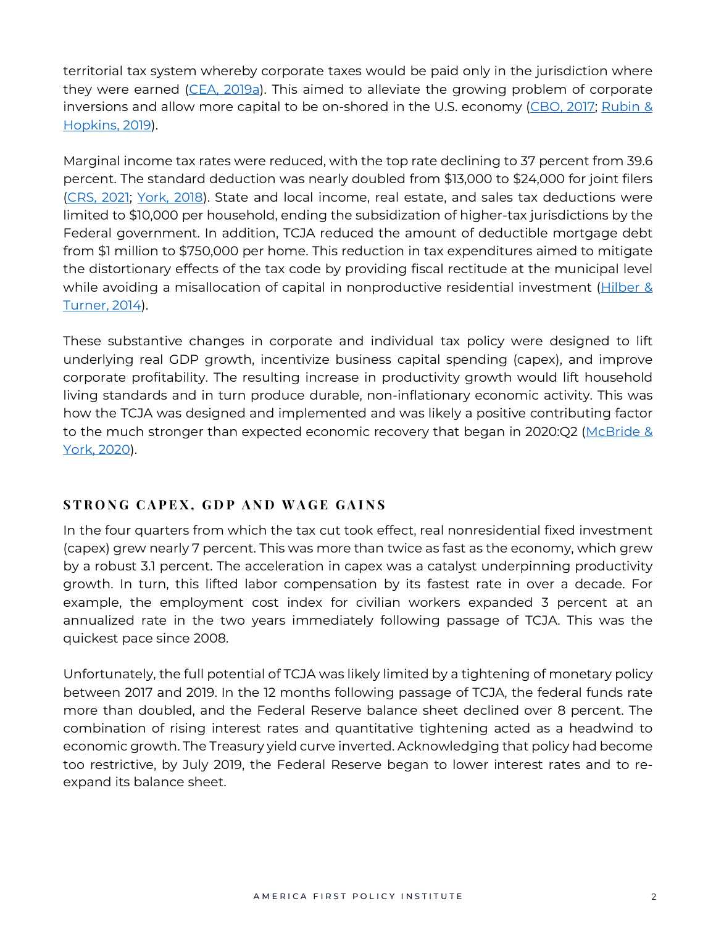territorial tax system whereby corporate taxes would be paid only in the jurisdiction where they were earned (CEA, [2019a\)](https://trumpwhitehouse.archives.gov/wp-content/uploads/2019/03/ERP-2019.pdf). This aimed to alleviate the growing problem of corporate inversions and allow more capital to be on-shored in the U.S. economy [\(CBO,](https://www.cbo.gov/system/files/115th-congress-2017-2018/reports/53093-inversions.pdf) 2017; [Rubin](https://www.wsj.com/articles/inversion-reversions-arrive-as-companies-get-smaller-tax-edge-from-foreign-addresses-11564662353) & [Hopkins,](https://www.wsj.com/articles/inversion-reversions-arrive-as-companies-get-smaller-tax-edge-from-foreign-addresses-11564662353) 2019).

Marginal income tax rates were reduced, with the top rate declining to 37 percent from 39.6 percent. The standard deduction was nearly doubled from \$13,000 to \$24,000 for joint filers [\(CRS,](https://crsreports.congress.gov/product/pdf/IN/IN11653) 2021; [York,](https://taxfoundation.org/90-percent-taxpayers-projected-tcja-expanded-standard-deduction/) 2018). State and local income, real estate, and sales tax deductions were limited to \$10,000 per household, ending the subsidization of higher-tax jurisdictions by the Federal government. In addition, TCJA reduced the amount of deductible mortgage debt from \$1 million to \$750,000 per home. This reduction in tax expenditures aimed to mitigate the distortionary effects of the tax code by providing fiscal rectitude at the municipal level while avoiding a misallocation of capital in nonproductive residential investment [\(Hilber](https://watermark.silverchair.com/rest_a_00427.pdf?token=AQECAHi208BE49Ooan9kkhW_Ercy7Dm3ZL_9Cf3qfKAc485ysgAAAqMwggKfBgkqhkiG9w0BBwagggKQMIICjAIBADCCAoUGCSqGSIb3DQEHATAeBglghkgBZQMEAS4wEQQMOS0veFC84INk7lhgAgEQgIICVprAr_TTgRDdHEgplxzUt7wBJY9k3OO4Bb61Dqh7HRnMRItaszB_k8lxSWFlFOds4uPTaG0ahyEPXfyS6JYqTWu95b2O4SrwB1eLLoQ4eC9KC_qbZkCNMslh5BEhB9EsutT31CvCtytZQlEbJJHegPxz9mgdD2KwuGlUfTPslxaY3hYaMNqU1N5U4gLKm273EhHbvSz3nMzrRJ28nz9O6kOE7whRYv8bPpxiHUyGM3k-9K5oEzK-unjbK6HkE31_9ZiUA_2lLoi9Z6-6lCSmQjmbSCSTuDguxdpgzP7DfvZHJZtxMC6MUKs2rYOEiX5Tczn2TxX00t9xtVx2oBGV15vzjis_G4Xi_e4V7s4RW5_pHa6OP7Ke6iR79lxou1Y72e9Xy5UH0FvCi6RXIF8RBxXJcCJfcs1Se2R4Vuf3LLpIO2C4kf-GIUyCxP83K9FUk1MtY6qhF_-eLRm9Q7pM89LY-GtwOtduBo_HzYtmPzFCLgoVGlsTgLnCEGUUMo1tw-OxnwksPvAriIH-5RhH7wouTwJDaIUF-p-B-ZlIGy5EciHGP8ZUK_sui7o7ydD6I3obHviEZe0jEjRBz5GYVNXRFzm7wSjARBXD1CKHQX6pthXRCSH6VEaLrmorS9afJo1zS7Ox6w-tQ6mktQlHejeJXnTeItft95BmdbTevfkkPXNK9i416PdZZxLkDJKaXcrZvyVwRqtcrdsTJwG_MXF6lT0NrKo-0xQTABO7_vx7ye53U9NTuCPEr55RqY6Uuvx_qJf7ockX3q7sohx8wueespuh1BM#:~:text=The%2520MID%2520reduces%2520the%2520after,costs%2520of%2520purchasing%2520a%2520home) & [Turner,](https://watermark.silverchair.com/rest_a_00427.pdf?token=AQECAHi208BE49Ooan9kkhW_Ercy7Dm3ZL_9Cf3qfKAc485ysgAAAqMwggKfBgkqhkiG9w0BBwagggKQMIICjAIBADCCAoUGCSqGSIb3DQEHATAeBglghkgBZQMEAS4wEQQMOS0veFC84INk7lhgAgEQgIICVprAr_TTgRDdHEgplxzUt7wBJY9k3OO4Bb61Dqh7HRnMRItaszB_k8lxSWFlFOds4uPTaG0ahyEPXfyS6JYqTWu95b2O4SrwB1eLLoQ4eC9KC_qbZkCNMslh5BEhB9EsutT31CvCtytZQlEbJJHegPxz9mgdD2KwuGlUfTPslxaY3hYaMNqU1N5U4gLKm273EhHbvSz3nMzrRJ28nz9O6kOE7whRYv8bPpxiHUyGM3k-9K5oEzK-unjbK6HkE31_9ZiUA_2lLoi9Z6-6lCSmQjmbSCSTuDguxdpgzP7DfvZHJZtxMC6MUKs2rYOEiX5Tczn2TxX00t9xtVx2oBGV15vzjis_G4Xi_e4V7s4RW5_pHa6OP7Ke6iR79lxou1Y72e9Xy5UH0FvCi6RXIF8RBxXJcCJfcs1Se2R4Vuf3LLpIO2C4kf-GIUyCxP83K9FUk1MtY6qhF_-eLRm9Q7pM89LY-GtwOtduBo_HzYtmPzFCLgoVGlsTgLnCEGUUMo1tw-OxnwksPvAriIH-5RhH7wouTwJDaIUF-p-B-ZlIGy5EciHGP8ZUK_sui7o7ydD6I3obHviEZe0jEjRBz5GYVNXRFzm7wSjARBXD1CKHQX6pthXRCSH6VEaLrmorS9afJo1zS7Ox6w-tQ6mktQlHejeJXnTeItft95BmdbTevfkkPXNK9i416PdZZxLkDJKaXcrZvyVwRqtcrdsTJwG_MXF6lT0NrKo-0xQTABO7_vx7ye53U9NTuCPEr55RqY6Uuvx_qJf7ockX3q7sohx8wueespuh1BM#:~:text=The%2520MID%2520reduces%2520the%2520after,costs%2520of%2520purchasing%2520a%2520home) 2014).

These substantive changes in corporate and individual tax policy were designed to lift underlying real GDP growth, incentivize business capital spending (capex), and improve corporate profitability. The resulting increase in productivity growth would lift household living standards and in turn produce durable, non-inflationary economic activity. This was how the TCJA was designed and implemented and was likely a positive contributing factor to the much stronger than expected economic recovery that began in 2020:Q2 [\(McBride](https://taxfoundation.org/2017-tax-reform-us-economy-us-jobs-coronavirus/) & York, [2020\)](https://taxfoundation.org/2017-tax-reform-us-economy-us-jobs-coronavirus/).

# **S T R O N G C A P E X , G D P A N D W A G E G A I N S**

In the four quarters from which the tax cut took effect, real nonresidential fixed investment (capex) grew nearly 7 percent. This was more than twice as fast as the economy, which grew by a robust 3.1 percent. The acceleration in capex was a catalyst underpinning productivity growth. In turn, this lifted labor compensation by its fastest rate in over a decade. For example, the employment cost index for civilian workers expanded 3 percent at an annualized rate in the two years immediately following passage of TCJA. This was the quickest pace since 2008.

Unfortunately, the full potential of TCJA was likely limited by a tightening of monetary policy between 2017 and 2019. In the 12 months following passage of TCJA, the federal funds rate more than doubled, and the Federal Reserve balance sheet declined over 8 percent. The combination of rising interest rates and quantitative tightening acted as a headwind to economic growth. The Treasury yield curve inverted. Acknowledging that policy had become too restrictive, by July 2019, the Federal Reserve began to lower interest rates and to reexpand its balance sheet.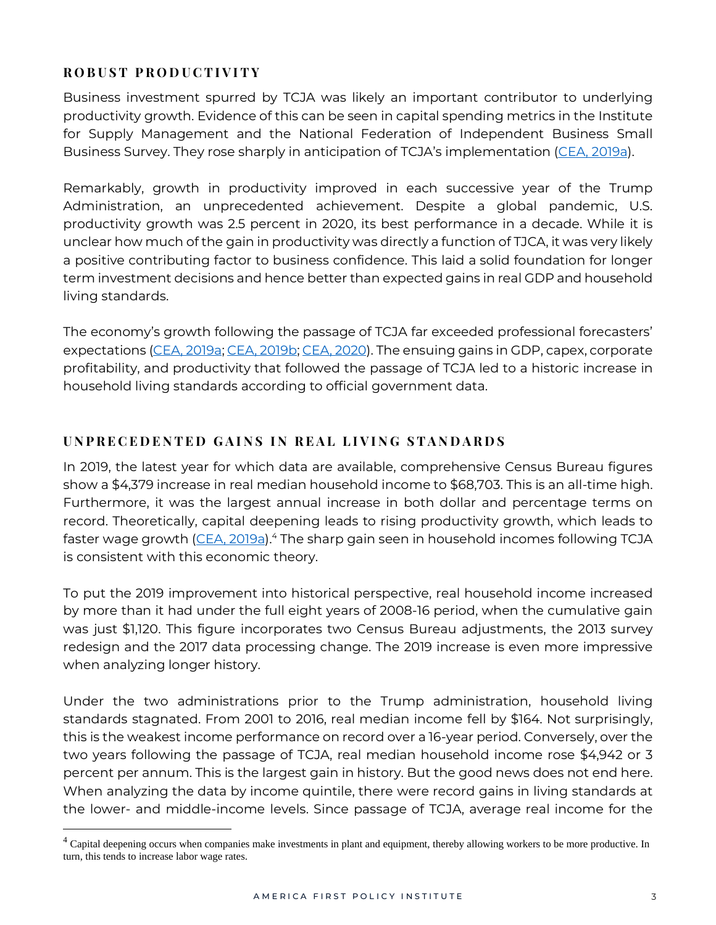# **R O B U S T P R O D U C T I V I T Y**

Business investment spurred by TCJA was likely an important contributor to underlying productivity growth. Evidence of this can be seen in capital spending metrics in the Institute for Supply Management and the National Federation of Independent Business Small Business Survey. They rose sharply in anticipation of TCJA's implementation [\(CEA,](https://trumpwhitehouse.archives.gov/wp-content/uploads/2019/03/ERP-2019.pdf) 2019a).

Remarkably, growth in productivity improved in each successive year of the Trump Administration, an unprecedented achievement. Despite a global pandemic, U.S. productivity growth was 2.5 percent in 2020, its best performance in a decade. While it is unclear how much of the gain in productivity was directly a function of TJCA, it was very likely a positive contributing factor to business confidence. This laid a solid foundation for longer term investment decisions and hence better than expected gains in real GDP and household living standards.

The economy's growth following the passage of TCJA far exceeded professional forecasters' expectations (CEA, [2019a;](https://trumpwhitehouse.archives.gov/wp-content/uploads/2019/03/ERP-2019.pdf) CEA, [2019b;](https://trumpwhitehouse.archives.gov/articles/two-years-tax-cuts-continue-boosting-united-states-economy/) CEA, [2020\)](https://trumpwhitehouse.archives.gov/wp-content/uploads/2020/02/2020-Economic-Report-of-the-President-WHCEA.pdf). The ensuing gains in GDP, capex, corporate profitability, and productivity that followed the passage of TCJA led to a historic increase in household living standards according to official government data.

## **U N P R E C E D E N T E D G A I N S I N R E A L L I V I N G S T A N D A R D S**

In 2019, the latest year for which data are available, comprehensive Census Bureau figures show a \$4,379 increase in real median household income to \$68,703. This is an all-time high. Furthermore, it was the largest annual increase in both dollar and percentage terms on record. Theoretically, capital deepening leads to rising productivity growth, which leads to faster wage growth [\(CEA,](https://trumpwhitehouse.archives.gov/wp-content/uploads/2019/03/ERP-2019.pdf) 2019a).<sup>4</sup> The sharp gain seen in household incomes following TCJA is consistent with this economic theory.

To put the 2019 improvement into historical perspective, real household income increased by more than it had under the full eight years of 2008-16 period, when the cumulative gain was just \$1,120. This figure incorporates two Census Bureau adjustments, the 2013 survey redesign and the 2017 data processing change. The 2019 increase is even more impressive when analyzing longer history.

Under the two administrations prior to the Trump administration, household living standards stagnated. From 2001 to 2016, real median income fell by \$164. Not surprisingly, this is the weakest income performance on record over a 16-year period. Conversely, over the two years following the passage of TCJA, real median household income rose \$4,942 or 3 percent per annum. This is the largest gain in history. But the good news does not end here. When analyzing the data by income quintile, there were record gains in living standards at the lower- and middle-income levels. Since passage of TCJA, average real income for the

<sup>&</sup>lt;sup>4</sup> Capital deepening occurs when companies make investments in plant and equipment, thereby allowing workers to be more productive. In turn, this tends to increase labor wage rates.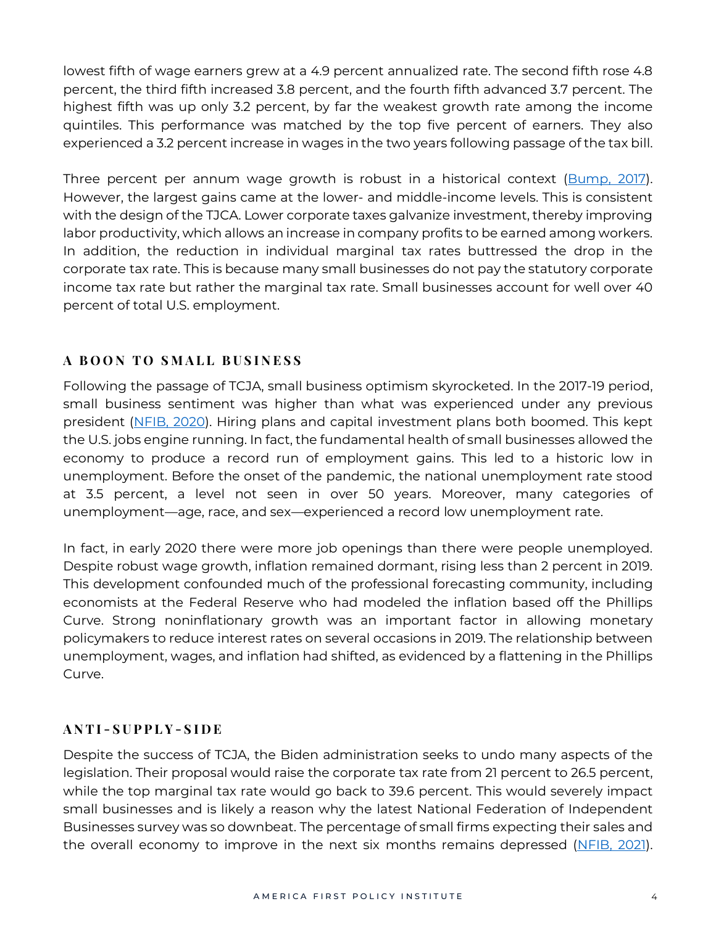lowest fifth of wage earners grew at a 4.9 percent annualized rate. The second fifth rose 4.8 percent, the third fifth increased 3.8 percent, and the fourth fifth advanced 3.7 percent. The highest fifth was up only 3.2 percent, by far the weakest growth rate among the income quintiles. This performance was matched by the top five percent of earners. They also experienced a 3.2 percent increase in wages in the two years following passage of the tax bill.

Three percent per annum wage growth is robust in a historical context [\(Bump,](https://www.washingtonpost.com/news/politics/wp/2017/08/31/why-trumps-embrace-of-3-percent-annual-economic-growth-makes-historical-sense/) 2017). However, the largest gains came at the lower- and middle-income levels. This is consistent with the design of the TJCA. Lower corporate taxes galvanize investment, thereby improving labor productivity, which allows an increase in company profits to be earned among workers. In addition, the reduction in individual marginal tax rates buttressed the drop in the corporate tax rate. This is because many small businesses do not pay the statutory corporate income tax rate but rather the marginal tax rate. Small businesses account for well over 40 percent of total U.S. employment.

## **A B O O N T O S M A L L B U S I N E S S**

Following the passage of TCJA, small business optimism skyrocketed. In the 2017-19 period, small business sentiment was higher than what was experienced under any previous president [\(NFIB,](https://www.nfib.com/assets/SBET-February-2020.pdf) 2020). Hiring plans and capital investment plans both boomed. This kept the U.S. jobs engine running. In fact, the fundamental health of small businesses allowed the economy to produce a record run of employment gains. This led to a historic low in unemployment. Before the onset of the pandemic, the national unemployment rate stood at 3.5 percent, a level not seen in over 50 years. Moreover, many categories of unemployment—age, race, and sex—experienced a record low unemployment rate.

In fact, in early 2020 there were more job openings than there were people unemployed. Despite robust wage growth, inflation remained dormant, rising less than 2 percent in 2019. This development confounded much of the professional forecasting community, including economists at the Federal Reserve who had modeled the inflation based off the Phillips Curve. Strong noninflationary growth was an important factor in allowing monetary policymakers to reduce interest rates on several occasions in 2019. The relationship between unemployment, wages, and inflation had shifted, as evidenced by a flattening in the Phillips Curve.

#### **A N T I - S U P P L Y - S I D E**

Despite the success of TCJA, the Biden administration seeks to undo many aspects of the legislation. Their proposal would raise the corporate tax rate from 21 percent to 26.5 percent, while the top marginal tax rate would go back to 39.6 percent. This would severely impact small businesses and is likely a reason why the latest National Federation of Independent Businesses survey was so downbeat. The percentage of small firms expecting their sales and the overall economy to improve in the next six months remains depressed [\(NFIB,](https://assets.nfib.com/nfibcom/SBET-August-2021.pdf) 2021).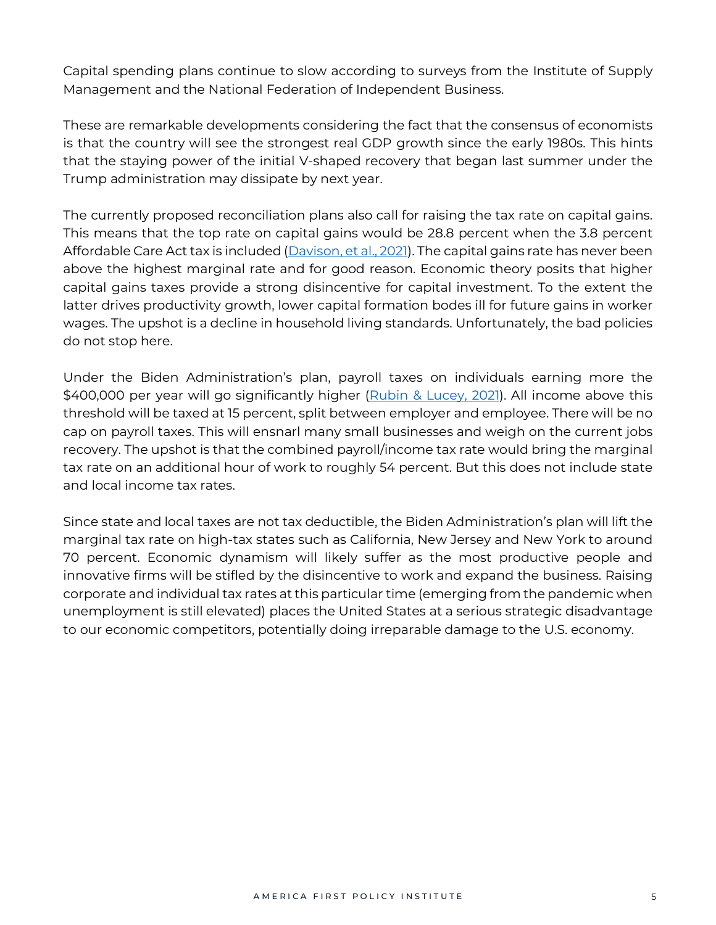Capital spending plans continue to slow according to surveys from the Institute of Supply Management and the National Federation of Independent Business.

These are remarkable developments considering the fact that the consensus of economists is that the country will see the strongest real GDP growth since the early 1980s. This hints that the staying power of the initial V-shaped recovery that began last summer under the Trump administration may dissipate by next year.

The currently proposed reconciliation plans also call for raising the tax rate on capital gains. This means that the top rate on capital gains would be 28.8 percent when the 3.8 percent Affordable Care Act tax is included [\(Davison,](https://www.msn.com/en-us/news/politics/capital-gains-tax-rate-set-at-25-in-house-democrats-plan/ar-AAOofv9) et al., 2021). The capital gains rate has never been above the highest marginal rate and for good reason. Economic theory posits that higher capital gains taxes provide a strong disincentive for capital investment. To the extent the latter drives productivity growth, lower capital formation bodes ill for future gains in worker wages. The upshot is a decline in household living standards. Unfortunately, the bad policies do not stop here.

Under the Biden Administration's plan, payroll taxes on individuals earning more the \$400,000 per year will go significantly higher [\(Rubin](https://www.wsj.com/articles/bidens-tax-pledge-limits-options-for-infrastructure-deal-11624454898) & Lucey, 2021). All income above this threshold will be taxed at 15 percent, split between employer and employee. There will be no cap on payroll taxes. This will ensnarl many small businesses and weigh on the current jobs recovery. The upshot is that the combined payroll/income tax rate would bring the marginal tax rate on an additional hour of work to roughly 54 percent. But this does not include state and local income tax rates.

Since state and local taxes are not tax deductible, the Biden Administration's plan will lift the marginal tax rate on high-tax states such as California, New Jersey and New York to around 70 percent. Economic dynamism will likely suffer as the most productive people and innovative firms will be stifled by the disincentive to work and expand the business. Raising corporate and individual tax rates at this particular time (emerging from the pandemic when unemployment is still elevated) places the United States at a serious strategic disadvantage to our economic competitors, potentially doing irreparable damage to the U.S. economy.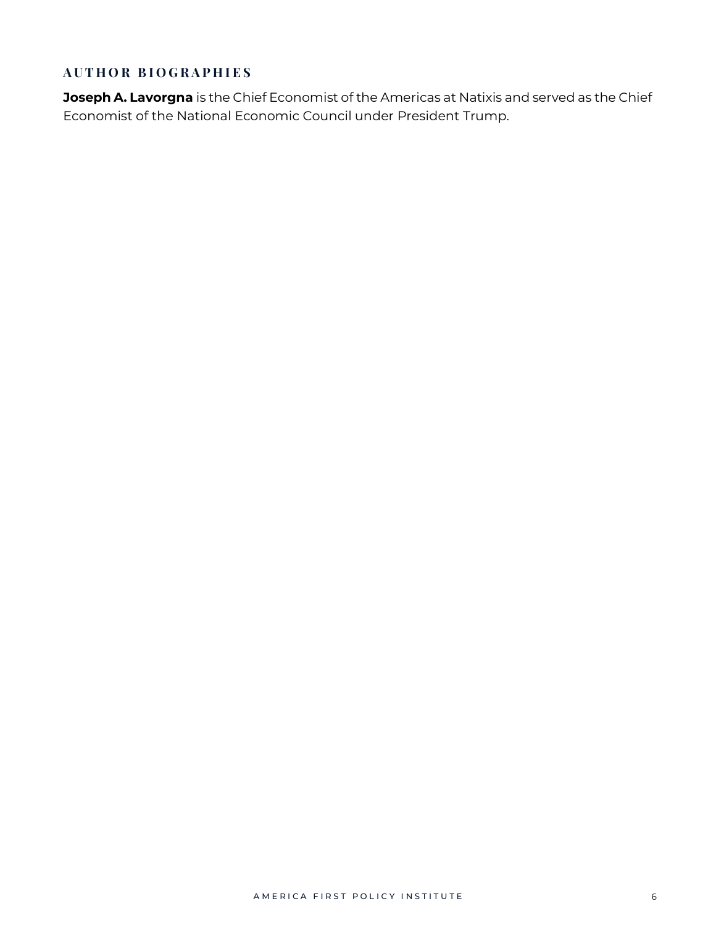# **A U T H O R B I O G R A P H I E S**

**Joseph A. Lavorgna** is the Chief Economist of the Americas at Natixis and served as the Chief Economist of the National Economic Council under President Trump.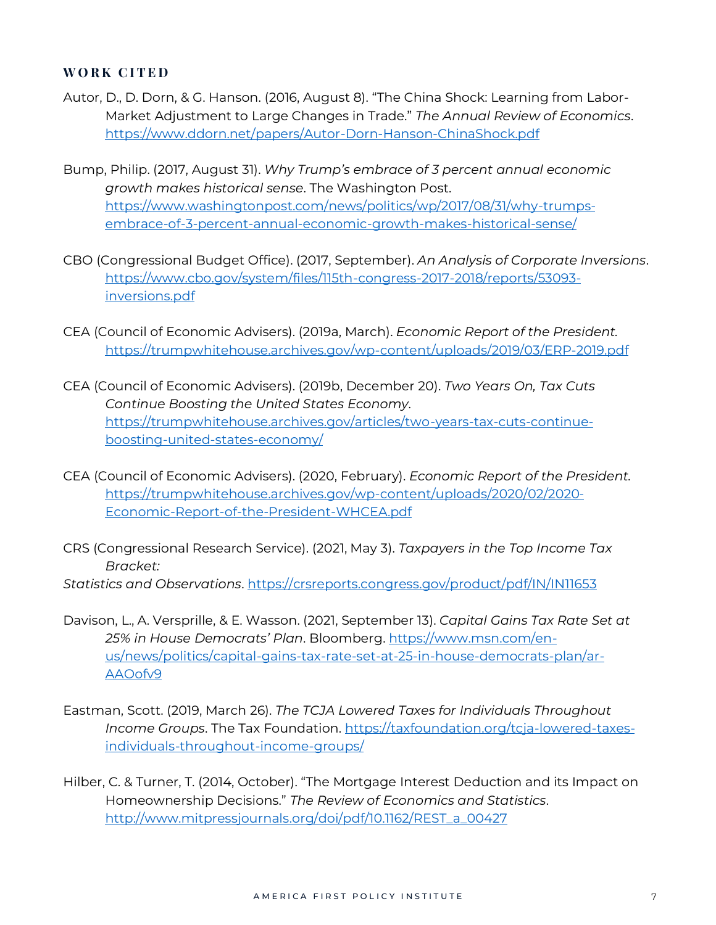#### **WORK CITED**

- Autor, D., D. Dorn, & G. Hanson. (2016, August 8). "The China Shock: Learning from Labor-Market Adjustment to Large Changes in Trade." *The Annual Review of Economics*. <https://www.ddorn.net/papers/Autor-Dorn-Hanson-ChinaShock.pdf>
- Bump, Philip. (2017, August 31). *Why Trump's embrace of 3 percent annual economic growth makes historical sense*. The Washington Post. [https://www.washingtonpost.com/news/politics/wp/2017/08/31/why-trumps](https://www.washingtonpost.com/news/politics/wp/2017/08/31/why-trumps-embrace-of-3-percent-annual-economic-growth-makes-historical-sense/)[embrace-of-3-percent-annual-economic-growth-makes-historical-sense/](https://www.washingtonpost.com/news/politics/wp/2017/08/31/why-trumps-embrace-of-3-percent-annual-economic-growth-makes-historical-sense/)
- CBO (Congressional Budget Office). (2017, September). *An Analysis of Corporate Inversions*. [https://www.cbo.gov/system/files/115th-congress-2017-2018/reports/53093](https://www.cbo.gov/system/files/115th-congress-2017-2018/reports/53093-inversions.pdf) [inversions.pdf](https://www.cbo.gov/system/files/115th-congress-2017-2018/reports/53093-inversions.pdf)
- CEA (Council of Economic Advisers). (2019a, March). *Economic Report of the President.* <https://trumpwhitehouse.archives.gov/wp-content/uploads/2019/03/ERP-2019.pdf>
- CEA (Council of Economic Advisers). (2019b, December 20). *Two Years On, Tax Cuts Continue Boosting the United States Economy*. [https://trumpwhitehouse.archives.gov/articles/two-years-tax-cuts-continue](https://trumpwhitehouse.archives.gov/articles/two-years-tax-cuts-continue-boosting-united-states-economy/)[boosting-united-states-economy/](https://trumpwhitehouse.archives.gov/articles/two-years-tax-cuts-continue-boosting-united-states-economy/)
- CEA (Council of Economic Advisers). (2020, February). *Economic Report of the President.* [https://trumpwhitehouse.archives.gov/wp-content/uploads/2020/02/2020-](https://trumpwhitehouse.archives.gov/wp-content/uploads/2020/02/2020-Economic-Report-of-the-President-WHCEA.pdf) [Economic-Report-of-the-President-WHCEA.pdf](https://trumpwhitehouse.archives.gov/wp-content/uploads/2020/02/2020-Economic-Report-of-the-President-WHCEA.pdf)
- CRS (Congressional Research Service). (2021, May 3). *Taxpayers in the Top Income Tax Bracket:*

*Statistics and Observations*. <https://crsreports.congress.gov/product/pdf/IN/IN11653>

- Davison, L., A. Versprille, & E. Wasson. (2021, September 13). *Capital Gains Tax Rate Set at 25% in House Democrats' Plan*. Bloomberg. [https://www.msn.com/en](https://www.msn.com/en-us/news/politics/capital-gains-tax-rate-set-at-25-in-house-democrats-plan/ar-AAOofv9)[us/news/politics/capital-gains-tax-rate-set-at-25-in-house-democrats-plan/ar-](https://www.msn.com/en-us/news/politics/capital-gains-tax-rate-set-at-25-in-house-democrats-plan/ar-AAOofv9)[AAOofv9](https://www.msn.com/en-us/news/politics/capital-gains-tax-rate-set-at-25-in-house-democrats-plan/ar-AAOofv9)
- Eastman, Scott. (2019, March 26). *The TCJA Lowered Taxes for Individuals Throughout Income Groups*. The Tax Foundation. [https://taxfoundation.org/tcja-lowered-taxes](https://taxfoundation.org/tcja-lowered-taxes-individuals-throughout-income-groups/)[individuals-throughout-income-groups/](https://taxfoundation.org/tcja-lowered-taxes-individuals-throughout-income-groups/)
- Hilber, C. & Turner, T. (2014, October). "The Mortgage Interest Deduction and its Impact on Homeownership Decisions." *The Review of Economics and Statistics*. [http://www.mitpressjournals.org/doi/pdf/10.1162/REST\\_a\\_00427](http://www.mitpressjournals.org/doi/pdf/10.1162/REST_a_00427)